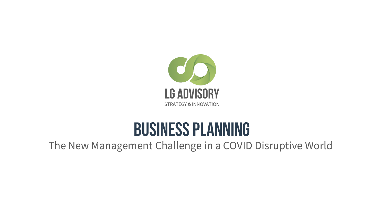

# Business planning

## The New Management Challenge in a COVID Disruptive World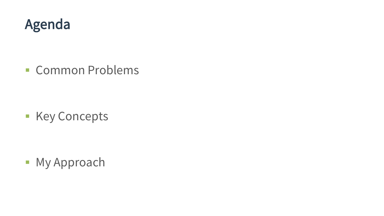

■ Common Problems

**E** Key Concepts

**■ My Approach**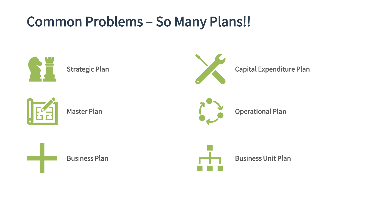## Common Problems – So Many Plans!!

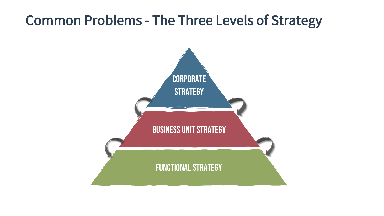## Common Problems - The Three Levels of Strategy

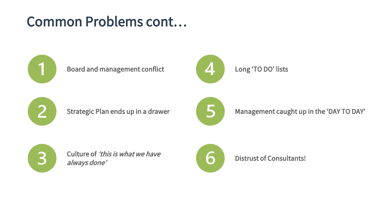## Common Problems cont…



### Board and management conflict



### Long 'TO DO' lists



Strategic Plan ends up in a drawer



Management caught up in the 'DAY TO DAY'



Culture of 'this is what we have always done'



Distrust of Consultants!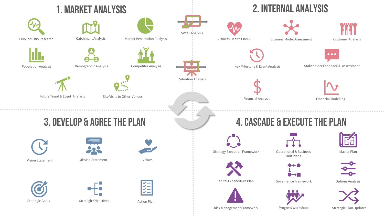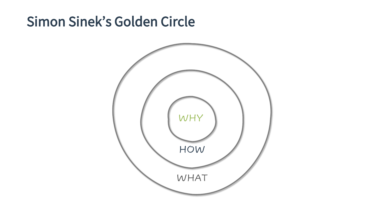## Simon Sinek's Golden Circle

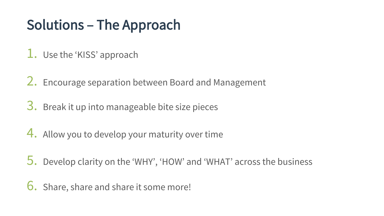# Solutions – The Approach

- 1. Use the 'KISS' approach
- 2. Encourage separation between Board and Management
- 3. Break it up into manageable bite size pieces
- 4. Allow you to develop your maturity over time
- 5. Develop clarity on the 'WHY', 'HOW' and 'WHAT' across the business
- 6. Share, share and share it some more!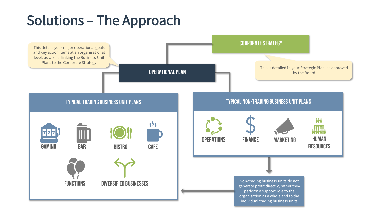# Solutions – The Approach

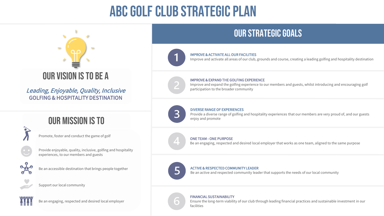# ABC Golf club Strategic Plan



Leading, Enjoyable, Quality, Inclusive GOLFING & HOSPITALITY DESTINATION

## Our mission is to

Promote, foster and conduct the game of golf



Provide enjoyable, quality, inclusive, golfing and hospitality experiences, to our members and guests



Be an accessible destination that brings people together



Support our local community



Be an engaging, respected and desired local employer

## Our strategic goals



#### IMPROVE & ACTIVATE ALL OUR FACILITIES

Improve and activate all areas of our club, grounds and course, creating a leading golfing and hospitality destination

#### IMPROVE & EXPAND THE GOLFING EXPERIENCE

Improve and expand the golfing experience to our members and guests, whilst introducing and encouraging golf participation to the broader community



#### DIVERSE RANGE OF EXPERIENCES

Provide a diverse range of golfing and hospitality experiences that our members are very proud of, and our guests enjoy and promote



#### ONE TEAM - ONE PURPOSE

Be an engaging, respected and desired local employer that works as one team, aligned to the same purpose



 $\bigcirc$ 

#### ACTIVE & RESPECTED COMMUNITY LEADER

Be an active and respected community leader that supports the needs of our local community

#### FINANCIAL SUSTAINABILITY

Ensure the long-term viability of our club through leading financial practices and sustainable investment in our facilities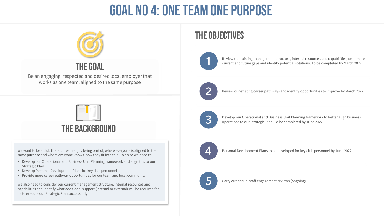# goal no 4: one team one purpose



## The goal

Be an engaging, respected and desired local employer that works as one team, aligned to the same purpose



## The background

We want to be a club that our team enjoy being part of, where everyone is aligned to the same purpose and where everyone knows how they fit into this. To do so we need to:

- Develop our Operational and Business Unit Planning framework and align this to our Strategic Plan
- Develop Personal Development Plans for key club personnel
- Provide more career pathway opportunities for our team and local community.

We also need to consider our current management structure, internal resources and capabilities and identify what additional support (internal or external) will be required for us to execute our Strategic Plan successfully.

## The objectives



Review our existing management structure, internal resources and capabilities, determine current and future gaps and identify potential solutions. To be completed by March 2022



Review our existing career pathways and identify opportunities to improve by March 2022



Develop our Operational and Business Unit Planning framework to better align business operations to our Strategic Plan. To be completed by June 2022



Personal Development Plans to be developed for key club personnel by June 2022



Carry out annual staff engagement reviews (ongoing)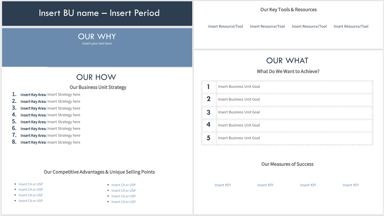### Insert BU name – Insert Period

## OUR WHY

Insert your text here

### OUR HOW

### Our Business Unit Strategy

- 1. Insert Key Area: Insert Strategy here
- 2. Insert Key Area: Insert Strategy here
- 3. Insert Key Area: Insert Strategy here
- 4. Insert Key Area: Insert Strategy here
- 5. Insert Key Area: Insert Strategy here
- **6.** Insert Key Area: Insert Strategy here
- 7. Insert Key Area: Insert Strategy here
- 8. Insert Key Area: Insert Strategy here

### Our Competitive Advantages & Unique Selling Points

- Insert CA or USP
- Insert CA or USP
- Insert CA or USP
- Insert CA or USP
- Insert CA or USP
- Insert CA or USP
- Insert CA or USP
- Insert CA or USP

### Our Key Tools & Resources

Insert Resource/Tool Insert Resource/Tool Insert Resource/Tool Insert Resource/Tool

### OUR WHAT

### What Do We Want to Achieve?

| Insert Business Unit Goal        |
|----------------------------------|
| Insert Business Unit Goal        |
| Insert Business Unit Goal        |
| <b>Insert Business Unit Goal</b> |
| Insert Business Unit Goal        |

### Our Measures of Success

Insert KPI Insert KPI Insert KPI Insert KPI Insert KPI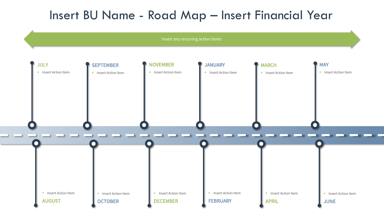## Insert BU Name - Road Map – Insert Financial Year

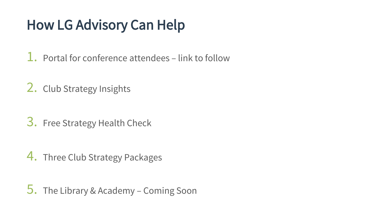# How LG Advisory Can Help

1. Portal for conference attendees – link to follow

2. Club Strategy Insights

3. Free Strategy Health Check

4. Three Club Strategy Packages

5. The Library & Academy – Coming Soon